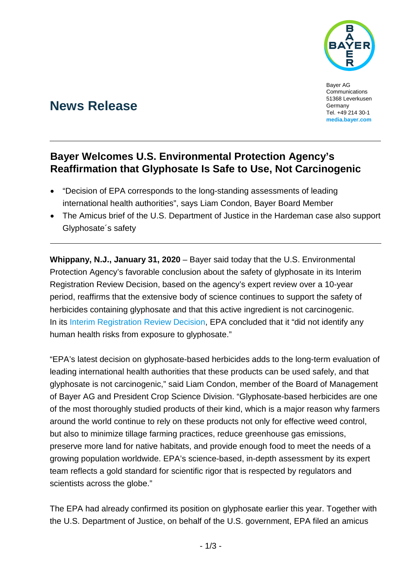

Bayer AG Communications 51368 Leverkusen Germany Tel. +49 214 30-1 **[media.bayer.com](http://media.bayer.de/)**

# **News Release**

## **Bayer Welcomes U.S. Environmental Protection Agency's Reaffirmation that Glyphosate Is Safe to Use, Not Carcinogenic**

- "Decision of EPA corresponds to the long-standing assessments of leading international health authorities", says Liam Condon, Bayer Board Member
- The Amicus brief of the U.S. Department of Justice in the Hardeman case also support Glyphosate´s safety

**Whippany, N.J., January 31, 2020** – Bayer said today that the U.S. Environmental Protection Agency's favorable conclusion about the safety of glyphosate in its Interim Registration Review Decision, based on the agency's expert review over a 10-year period, reaffirms that the extensive body of science continues to support the safety of herbicides containing glyphosate and that this active ingredient is not carcinogenic. In its [Interim Registration Review Decision,](https://www.epa.gov/sites/production/files/2020-01/documents/glyphosate-interim-reg-review-decision-case-num-0178.pdf) EPA concluded that it "did not identify any human health risks from exposure to glyphosate."

"EPA's latest decision on glyphosate-based herbicides adds to the long-term evaluation of leading international health authorities that these products can be used safely, and that glyphosate is not carcinogenic," said Liam Condon, member of the Board of Management of Bayer AG and President Crop Science Division. "Glyphosate-based herbicides are one of the most thoroughly studied products of their kind, which is a major reason why farmers around the world continue to rely on these products not only for effective weed control, but also to minimize tillage farming practices, reduce greenhouse gas emissions, preserve more land for native habitats, and provide enough food to meet the needs of a growing population worldwide. EPA's science-based, in-depth assessment by its expert team reflects a gold standard for scientific rigor that is respected by regulators and scientists across the globe."

The EPA had already confirmed its position on glyphosate earlier this year. Together with the U.S. Department of Justice, on behalf of the U.S. government, EPA filed an amicus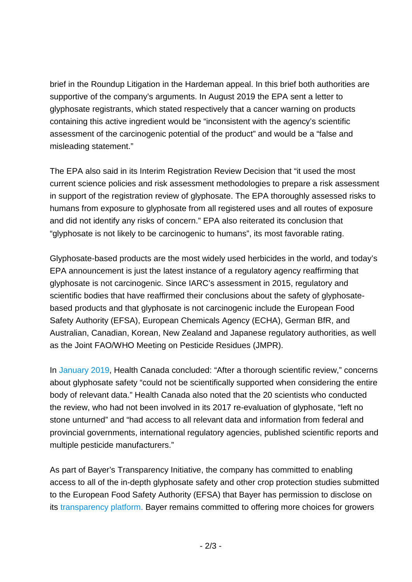brief in the Roundup Litigation in the Hardeman appeal. In this brief both authorities are supportive of the company's arguments. In August 2019 the EPA sent a letter to glyphosate registrants, which stated respectively that a cancer warning on products containing this active ingredient would be "inconsistent with the agency's scientific assessment of the carcinogenic potential of the product" and would be a "false and misleading statement."

The EPA also said in its Interim Registration Review Decision that "it used the most current science policies and risk assessment methodologies to prepare a risk assessment in support of the registration review of glyphosate. The EPA thoroughly assessed risks to humans from exposure to glyphosate from all registered uses and all routes of exposure and did not identify any risks of concern." EPA also reiterated its conclusion that "glyphosate is not likely to be carcinogenic to humans", its most favorable rating.

Glyphosate-based products are the most widely used herbicides in the world, and today's EPA announcement is just the latest instance of a regulatory agency reaffirming that glyphosate is not carcinogenic. Since IARC's assessment in 2015, regulatory and scientific bodies that have reaffirmed their conclusions about the safety of glyphosatebased products and that glyphosate is not carcinogenic include the European Food Safety Authority (EFSA), European Chemicals Agency (ECHA), German BfR, and Australian, Canadian, Korean, New Zealand and Japanese regulatory authorities, as well as the Joint FAO/WHO Meeting on Pesticide Residues (JMPR).

In [January 2019,](https://www.canada.ca/en/health-canada/news/2019/01/statement-from-health-canada-on-glyphosate.html) Health Canada concluded: "After a thorough scientific review," concerns about glyphosate safety "could not be scientifically supported when considering the entire body of relevant data." Health Canada also noted that the 20 scientists who conducted the review, who had not been involved in its 2017 re-evaluation of glyphosate, "left no stone unturned" and "had access to all relevant data and information from federal and provincial governments, international regulatory agencies, published scientific reports and multiple pesticide manufacturers."

As part of Bayer's Transparency Initiative, the company has committed to enabling access to all of the in-depth glyphosate safety and other crop protection studies submitted to the European Food Safety Authority (EFSA) that Bayer has permission to disclose on its [transparency platform.](https://www.cropscience-transparency.bayer.com/en/Safety-results) Bayer remains committed to offering more choices for growers